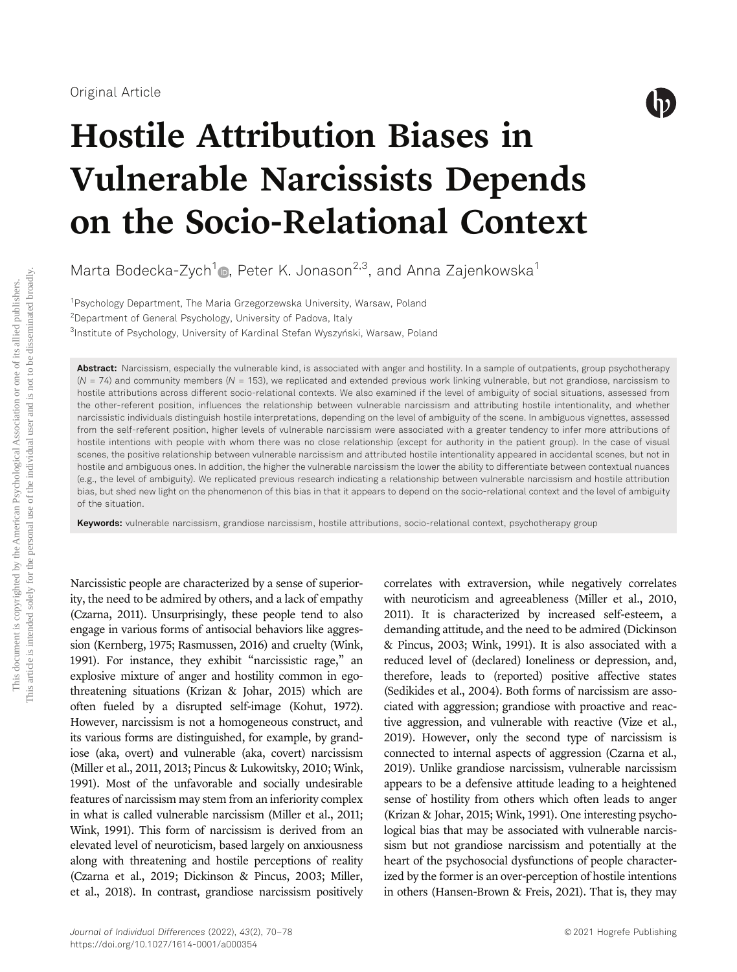

# Hostile Attribution Biases in Vulnerable Narcissists Depends on the Socio-Relational Context

Marta Bodecka-Zych<sup>1</sup> , Peter K. Jonason<sup>2,3</sup>, and Anna Zajenkowska<sup>1</sup>

<sup>1</sup>Psychology Department, The Maria Grzegorzewska University, Warsaw, Poland 2 Department of General Psychology, University of Padova, Italy 3 Institute of Psychology, University of Kardinal Stefan Wyszyński, Warsaw, Poland

Abstract: Narcissism, especially the vulnerable kind, is associated with anger and hostility. In a sample of outpatients, group psychotherapy  $(N = 74)$  and community members  $(N = 153)$ , we replicated and extended previous work linking vulnerable, but not grandiose, narcissism to hostile attributions across different socio-relational contexts. We also examined if the level of ambiguity of social situations, assessed from the other-referent position, influences the relationship between vulnerable narcissism and attributing hostile intentionality, and whether narcissistic individuals distinguish hostile interpretations, depending on the level of ambiguity of the scene. In ambiguous vignettes, assessed from the self-referent position, higher levels of vulnerable narcissism were associated with a greater tendency to infer more attributions of hostile intentions with people with whom there was no close relationship (except for authority in the patient group). In the case of visual scenes, the positive relationship between vulnerable narcissism and attributed hostile intentionality appeared in accidental scenes, but not in hostile and ambiguous ones. In addition, the higher the vulnerable narcissism the lower the ability to differentiate between contextual nuances (e.g., the level of ambiguity). We replicated previous research indicating a relationship between vulnerable narcissism and hostile attribution bias, but shed new light on the phenomenon of this bias in that it appears to depend on the socio-relational context and the level of ambiguity of the situation.

Keywords: vulnerable narcissism, grandiose narcissism, hostile attributions, socio-relational context, psychotherapy group

Narcissistic people are characterized by a sense of superiority, the need to be admired by others, and a lack of empathy (Czarna, 2011). Unsurprisingly, these people tend to also engage in various forms of antisocial behaviors like aggression (Kernberg, 1975; Rasmussen, 2016) and cruelty (Wink, 1991). For instance, they exhibit "narcissistic rage," an explosive mixture of anger and hostility common in egothreatening situations (Krizan & Johar, 2015) which are often fueled by a disrupted self-image (Kohut, 1972). However, narcissism is not a homogeneous construct, and its various forms are distinguished, for example, by grandiose (aka, overt) and vulnerable (aka, covert) narcissism (Miller et al., 2011, 2013; Pincus & Lukowitsky, 2010; Wink, 1991). Most of the unfavorable and socially undesirable features of narcissism may stem from an inferiority complex in what is called vulnerable narcissism (Miller et al., 2011; Wink, 1991). This form of narcissism is derived from an elevated level of neuroticism, based largely on anxiousness along with threatening and hostile perceptions of reality (Czarna et al., 2019; Dickinson & Pincus, 2003; Miller, et al., 2018). In contrast, grandiose narcissism positively correlates with extraversion, while negatively correlates with neuroticism and agreeableness (Miller et al., 2010, 2011). It is characterized by increased self-esteem, a demanding attitude, and the need to be admired (Dickinson & Pincus, 2003; Wink, 1991). It is also associated with a reduced level of (declared) loneliness or depression, and, therefore, leads to (reported) positive affective states (Sedikides et al., 2004). Both forms of narcissism are associated with aggression; grandiose with proactive and reactive aggression, and vulnerable with reactive (Vize et al., 2019). However, only the second type of narcissism is connected to internal aspects of aggression (Czarna et al., 2019). Unlike grandiose narcissism, vulnerable narcissism appears to be a defensive attitude leading to a heightened sense of hostility from others which often leads to anger (Krizan & Johar, 2015; Wink, 1991). One interesting psychological bias that may be associated with vulnerable narcissism but not grandiose narcissism and potentially at the heart of the psychosocial dysfunctions of people characterized by the former is an over-perception of hostile intentions in others (Hansen-Brown & Freis, 2021). That is, they may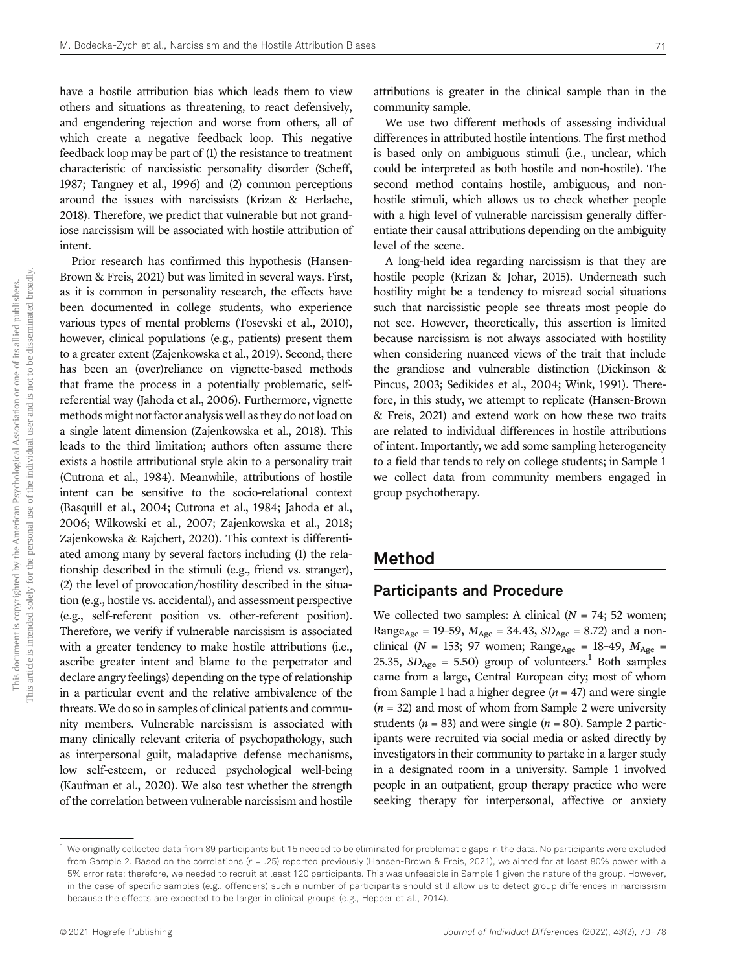have a hostile attribution bias which leads them to view others and situations as threatening, to react defensively, and engendering rejection and worse from others, all of which create a negative feedback loop. This negative feedback loop may be part of (1) the resistance to treatment characteristic of narcissistic personality disorder (Scheff, 1987; Tangney et al., 1996) and (2) common perceptions around the issues with narcissists (Krizan & Herlache, 2018). Therefore, we predict that vulnerable but not grandiose narcissism will be associated with hostile attribution of intent.

Prior research has confirmed this hypothesis (Hansen-Brown & Freis, 2021) but was limited in several ways. First, as it is common in personality research, the effects have been documented in college students, who experience various types of mental problems (Tosevski et al., 2010), however, clinical populations (e.g., patients) present them to a greater extent (Zajenkowska et al., 2019). Second, there has been an (over)reliance on vignette-based methods that frame the process in a potentially problematic, selfreferential way (Jahoda et al., 2006). Furthermore, vignette methods might not factor analysis well as they do not load on a single latent dimension (Zajenkowska et al., 2018). This leads to the third limitation; authors often assume there exists a hostile attributional style akin to a personality trait (Cutrona et al., 1984). Meanwhile, attributions of hostile intent can be sensitive to the socio-relational context (Basquill et al., 2004; Cutrona et al., 1984; Jahoda et al., 2006; Wilkowski et al., 2007; Zajenkowska et al., 2018; Zajenkowska & Rajchert, 2020). This context is differentiated among many by several factors including (1) the relationship described in the stimuli (e.g., friend vs. stranger), (2) the level of provocation/hostility described in the situation (e.g., hostile vs. accidental), and assessment perspective (e.g., self-referent position vs. other-referent position). Therefore, we verify if vulnerable narcissism is associated with a greater tendency to make hostile attributions (i.e., ascribe greater intent and blame to the perpetrator and declare angry feelings) depending on the type of relationship in a particular event and the relative ambivalence of the threats. We do so in samples of clinical patients and community members. Vulnerable narcissism is associated with many clinically relevant criteria of psychopathology, such as interpersonal guilt, maladaptive defense mechanisms, low self-esteem, or reduced psychological well-being (Kaufman et al., 2020). We also test whether the strength of the correlation between vulnerable narcissism and hostile

attributions is greater in the clinical sample than in the community sample.

We use two different methods of assessing individual differences in attributed hostile intentions. The first method is based only on ambiguous stimuli (i.e., unclear, which could be interpreted as both hostile and non-hostile). The second method contains hostile, ambiguous, and nonhostile stimuli, which allows us to check whether people with a high level of vulnerable narcissism generally differentiate their causal attributions depending on the ambiguity level of the scene.

A long-held idea regarding narcissism is that they are hostile people (Krizan & Johar, 2015). Underneath such hostility might be a tendency to misread social situations such that narcissistic people see threats most people do not see. However, theoretically, this assertion is limited because narcissism is not always associated with hostility when considering nuanced views of the trait that include the grandiose and vulnerable distinction (Dickinson & Pincus, 2003; Sedikides et al., 2004; Wink, 1991). Therefore, in this study, we attempt to replicate (Hansen-Brown & Freis, 2021) and extend work on how these two traits are related to individual differences in hostile attributions of intent. Importantly, we add some sampling heterogeneity to a field that tends to rely on college students; in Sample 1 we collect data from community members engaged in group psychotherapy.

## Method

## Participants and Procedure

We collected two samples: A clinical  $(N = 74; 52$  women; Range<sub>Age</sub> = 19-59,  $M_{\text{Age}}$  = 34.43,  $SD_{\text{Age}}$  = 8.72) and a nonclinical (N = 153; 97 women; Range<sub>Age</sub> = 18-49,  $M_{\text{Age}}$  = 25.35,  $SD<sub>Age</sub> = 5.50$  group of volunteers.<sup>1</sup> Both samples came from a large, Central European city; most of whom from Sample 1 had a higher degree  $(n = 47)$  and were single  $(n = 32)$  and most of whom from Sample 2 were university students ( $n = 83$ ) and were single ( $n = 80$ ). Sample 2 participants were recruited via social media or asked directly by investigators in their community to partake in a larger study in a designated room in a university. Sample 1 involved people in an outpatient, group therapy practice who were seeking therapy for interpersonal, affective or anxiety

<sup>1</sup> We originally collected data from 89 participants but 15 needed to be eliminated for problematic gaps in the data. No participants were excluded from Sample 2. Based on the correlations (r = .25) reported previously (Hansen-Brown & Freis, 2021), we aimed for at least 80% power with a 5% error rate; therefore, we needed to recruit at least 120 participants. This was unfeasible in Sample 1 given the nature of the group. However, in the case of specific samples (e.g., offenders) such a number of participants should still allow us to detect group differences in narcissism because the effects are expected to be larger in clinical groups (e.g., Hepper et al., 2014).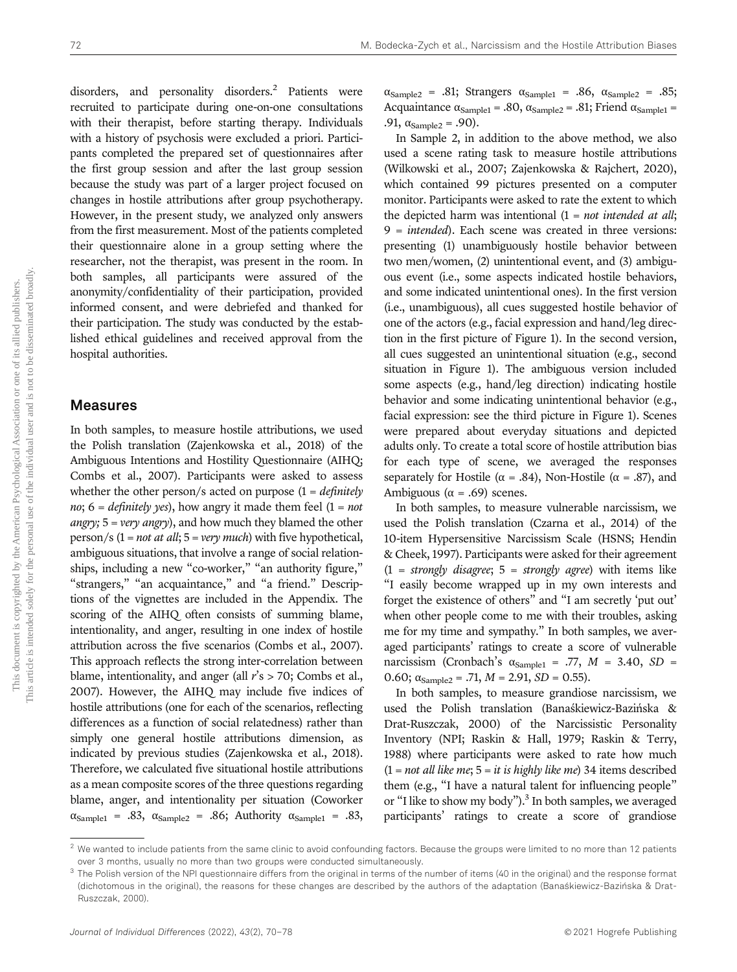disorders, and personality disorders.<sup>2</sup> Patients were recruited to participate during one-on-one consultations with their therapist, before starting therapy. Individuals with a history of psychosis were excluded a priori. Participants completed the prepared set of questionnaires after the first group session and after the last group session because the study was part of a larger project focused on changes in hostile attributions after group psychotherapy. However, in the present study, we analyzed only answers from the first measurement. Most of the patients completed their questionnaire alone in a group setting where the researcher, not the therapist, was present in the room. In both samples, all participants were assured of the anonymity/confidentiality of their participation, provided informed consent, and were debriefed and thanked for their participation. The study was conducted by the established ethical guidelines and received approval from the hospital authorities.

### Measures

In both samples, to measure hostile attributions, we used the Polish translation (Zajenkowska et al., 2018) of the Ambiguous Intentions and Hostility Questionnaire (AIHQ; Combs et al., 2007). Participants were asked to assess whether the other person/s acted on purpose  $(1 = \text{definitely})$ no;  $6 =$  definitely yes), how angry it made them feel  $(1 = not$ *angry*;  $5 = \text{very}$  *angry*), and how much they blamed the other person/s  $(1 = not at all; 5 = very much)$  with five hypothetical, ambiguous situations, that involve a range of social relationships, including a new "co-worker," "an authority figure," "strangers," "an acquaintance," and "a friend." Descriptions of the vignettes are included in the Appendix. The scoring of the AIHQ often consists of summing blame, intentionality, and anger, resulting in one index of hostile attribution across the five scenarios (Combs et al., 2007). This approach reflects the strong inter-correlation between blame, intentionality, and anger (all  $r$ 's > 70; Combs et al., 2007). However, the AIHQ may include five indices of hostile attributions (one for each of the scenarios, reflecting differences as a function of social relatedness) rather than simply one general hostile attributions dimension, as indicated by previous studies (Zajenkowska et al., 2018). Therefore, we calculated five situational hostile attributions as a mean composite scores of the three questions regarding blame, anger, and intentionality per situation (Coworker  $\alpha_{\text{Sample1}} = .83$ ,  $\alpha_{\text{Sample2}} = .86$ ; Authority  $\alpha_{\text{Sample1}} = .83$ ,

 $\alpha_{Sample2}$  = .81; Strangers  $\alpha_{Sample1}$  = .86,  $\alpha_{Sample2}$  = .85; Acquaintance  $\alpha_{\text{Sample1}} = .80$ ,  $\alpha_{\text{Sample2}} = .81$ ; Friend  $\alpha_{\text{Sample1}} =$ .91,  $\alpha_{\text{Sample2}} = .90$ ).

In Sample 2, in addition to the above method, we also used a scene rating task to measure hostile attributions (Wilkowski et al., 2007; Zajenkowska & Rajchert, 2020), which contained 99 pictures presented on a computer monitor. Participants were asked to rate the extent to which the depicted harm was intentional  $(1 = not intended at all;$ 9 = intended). Each scene was created in three versions: presenting (1) unambiguously hostile behavior between two men/women, (2) unintentional event, and (3) ambiguous event (i.e., some aspects indicated hostile behaviors, and some indicated unintentional ones). In the first version (i.e., unambiguous), all cues suggested hostile behavior of one of the actors (e.g., facial expression and hand/leg direction in the first picture of Figure 1). In the second version, all cues suggested an unintentional situation (e.g., second situation in Figure 1). The ambiguous version included some aspects (e.g., hand/leg direction) indicating hostile behavior and some indicating unintentional behavior (e.g., facial expression: see the third picture in Figure 1). Scenes were prepared about everyday situations and depicted adults only. To create a total score of hostile attribution bias for each type of scene, we averaged the responses separately for Hostile ( $\alpha = .84$ ), Non-Hostile ( $\alpha = .87$ ), and Ambiguous ( $\alpha$  = .69) scenes.

In both samples, to measure vulnerable narcissism, we used the Polish translation (Czarna et al., 2014) of the 10-item Hypersensitive Narcissism Scale (HSNS; Hendin & Cheek, 1997). Participants were asked for their agreement  $(1 = strongly disagree; 5 = strongly agree)$  with items like "I easily become wrapped up in my own interests and forget the existence of others" and "I am secretly 'put out' when other people come to me with their troubles, asking me for my time and sympathy." In both samples, we averaged participants' ratings to create a score of vulnerable narcissism (Cronbach's  $\alpha_{\text{Sample1}} = .77$ ,  $M = 3.40$ ,  $SD =$ 0.60;  $\alpha_{\text{Sample2}} = .71, M = 2.91, SD = 0.55$ .

In both samples, to measure grandiose narcissism, we used the Polish translation (Banaśkiewicz-Bazińska & Drat-Ruszczak, 2000) of the Narcissistic Personality Inventory (NPI; Raskin & Hall, 1979; Raskin & Terry, 1988) where participants were asked to rate how much  $(1 = not all like me; 5 = it is highly like me)$  34 items described them (e.g., "I have a natural talent for influencing people" or "I like to show my body").<sup>3</sup> In both samples, we averaged participants' ratings to create a score of grandiose

 $2$  We wanted to include patients from the same clinic to avoid confounding factors. Because the groups were limited to no more than 12 patients over 3 months, usually no more than two groups were conducted simultaneously.

 $3$  The Polish version of the NPI questionnaire differs from the original in terms of the number of items (40 in the original) and the response format (dichotomous in the original), the reasons for these changes are described by the authors of the adaptation (Banaśkiewicz-Bazińska & Drat-Ruszczak, 2000).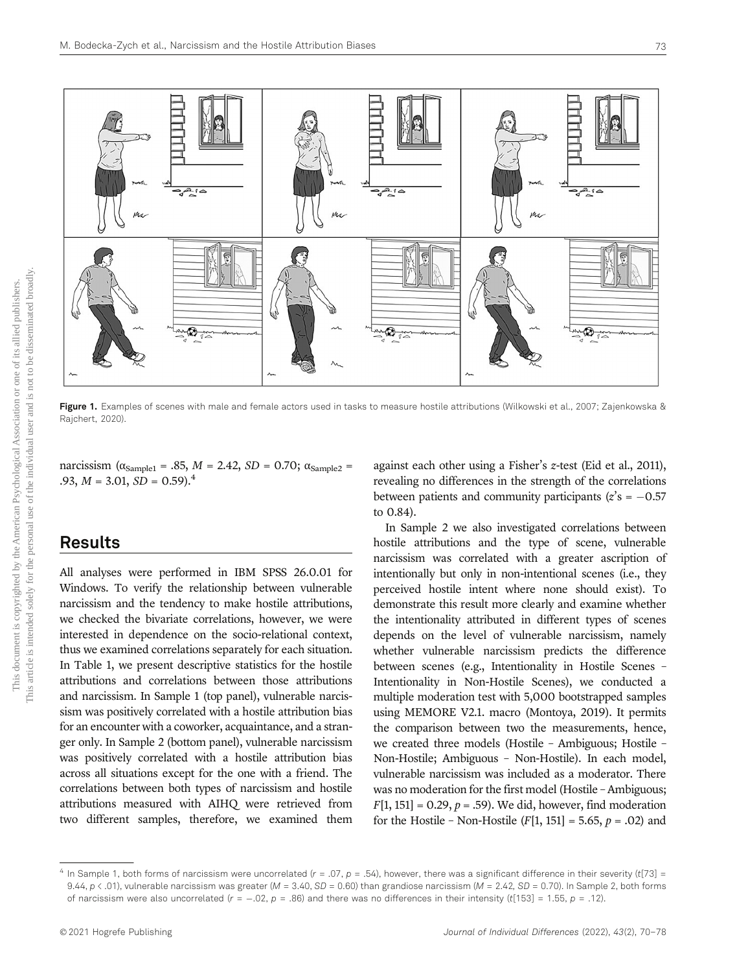

Figure 1. Examples of scenes with male and female actors used in tasks to measure hostile attributions (Wilkowski et al., 2007; Zajenkowska & Rajchert, 2020).

narcissism ( $\alpha_{\text{Sample1}} = .85$ ,  $M = 2.42$ ,  $SD = 0.70$ ;  $\alpha_{\text{Sample2}} =$ .93,  $M = 3.01$ ,  $SD = 0.59$ .<sup>4</sup>

## Results

All analyses were performed in IBM SPSS 26.0.01 for Windows. To verify the relationship between vulnerable narcissism and the tendency to make hostile attributions, we checked the bivariate correlations, however, we were interested in dependence on the socio-relational context, thus we examined correlations separately for each situation. In Table 1, we present descriptive statistics for the hostile attributions and correlations between those attributions and narcissism. In Sample 1 (top panel), vulnerable narcissism was positively correlated with a hostile attribution bias for an encounter with a coworker, acquaintance, and a stranger only. In Sample 2 (bottom panel), vulnerable narcissism was positively correlated with a hostile attribution bias across all situations except for the one with a friend. The correlations between both types of narcissism and hostile attributions measured with AIHQ were retrieved from two different samples, therefore, we examined them

against each other using a Fisher's z-test (Eid et al., 2011), revealing no differences in the strength of the correlations between patients and community participants ( $z$ 's = -0.57 to 0.84).

In Sample 2 we also investigated correlations between hostile attributions and the type of scene, vulnerable narcissism was correlated with a greater ascription of intentionally but only in non-intentional scenes (i.e., they perceived hostile intent where none should exist). To demonstrate this result more clearly and examine whether the intentionality attributed in different types of scenes depends on the level of vulnerable narcissism, namely whether vulnerable narcissism predicts the difference between scenes (e.g., Intentionality in Hostile Scenes – Intentionality in Non-Hostile Scenes), we conducted a multiple moderation test with 5,000 bootstrapped samples using MEMORE V2.1. macro (Montoya, 2019). It permits the comparison between two the measurements, hence, we created three models (Hostile – Ambiguous; Hostile – Non-Hostile; Ambiguous – Non-Hostile). In each model, vulnerable narcissism was included as a moderator. There was no moderation for the first model (Hostile – Ambiguous;  $F[1, 151] = 0.29, p = .59$ . We did, however, find moderation for the Hostile – Non-Hostile  $(F[1, 151] = 5.65, p = .02)$  and

In Sample 1, both forms of narcissism were uncorrelated  $(r = .07, p = .54)$ , however, there was a significant difference in their severity (t[73] = 9.44,  $p < .01$ ), vulnerable narcissism was greater (M = 3.40, SD = 0.60) than grandiose narcissism (M = 2.42, SD = 0.70). In Sample 2, both forms of narcissism were also uncorrelated  $(r = -0.02, p = 0.86)$  and there was no differences in their intensity (t[153] = 1.55, p = .12).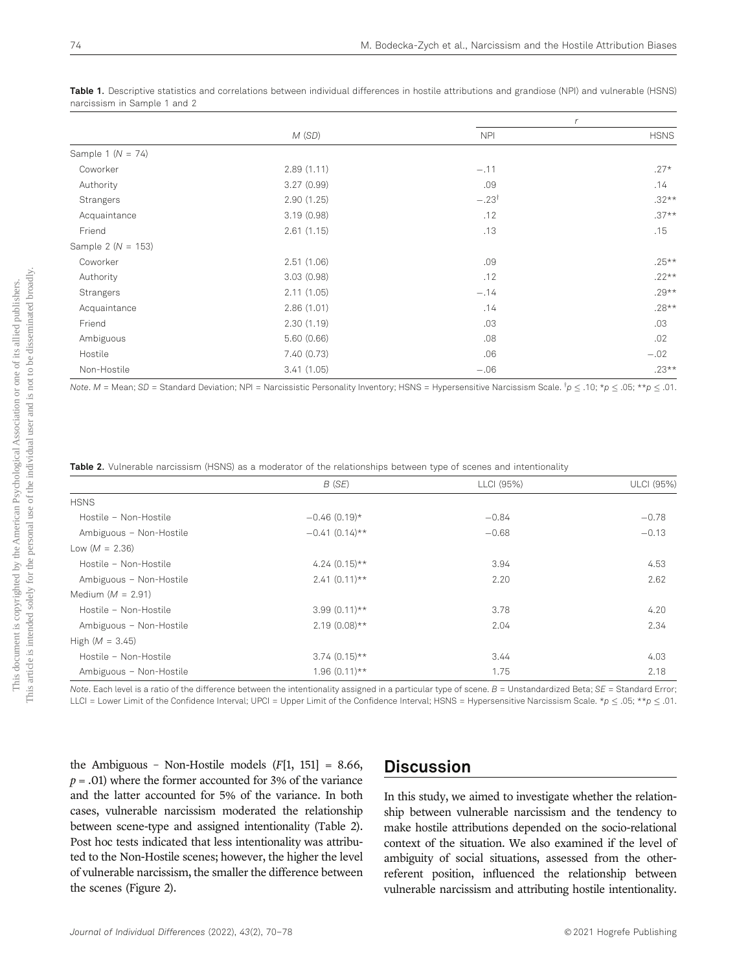|                        | M(SD)       | r                |             |
|------------------------|-------------|------------------|-------------|
|                        |             | <b>NPI</b>       | <b>HSNS</b> |
| Sample 1 ( $N = 74$ )  |             |                  |             |
| Coworker               | 2.89(1.11)  | $-.11$           | $.27*$      |
| Authority              | 3.27(0.99)  | .09              | .14         |
| Strangers              | 2.90(1.25)  | $-.23^{\dagger}$ | $.32**$     |
| Acquaintance           | 3.19(0.98)  | .12              | $.37**$     |
| Friend                 | 2.61(1.15)  | .13              | .15         |
| Sample 2 ( $N = 153$ ) |             |                  |             |
| Coworker               | 2.51(1.06)  | .09              | $.25***$    |
| Authority              | 3.03(0.98)  | .12              | $.22**$     |
| Strangers              | 2.11(1.05)  | $-.14$           | $.29**$     |
| Acquaintance           | 2.86(1.01)  | .14              | $.28**$     |
| Friend                 | 2.30(1.19)  | .03              | .03         |
| Ambiguous              | 5.60(0.66)  | .08              | .02         |
| Hostile                | 7.40 (0.73) | .06              | $-.02$      |
| Non-Hostile            | 3.41(1.05)  | $-.06$           | $.23**$     |

Table 1. Descriptive statistics and correlations between individual differences in hostile attributions and grandiose (NPI) and vulnerable (HSNS) narcissism in Sample 1 and 2

Note. M = Mean; SD = Standard Deviation; NPI = Narcissistic Personality Inventory; HSNS = Hypersensitive Narcissism Scale.  $lp \leq .0$ ; \* $p \leq .05$ ; \*\* $p \leq .01$ .

Table 2. Vulnerable narcissism (HSNS) as a moderator of the relationships between type of scenes and intentionality

|                         | B(SE)            | LLCI (95%) | ULCI (95%) |
|-------------------------|------------------|------------|------------|
| <b>HSNS</b>             |                  |            |            |
| Hostile - Non-Hostile   | $-0.46(0.19)$ *  | $-0.84$    | $-0.78$    |
| Ambiguous - Non-Hostile | $-0.41(0.14)$ ** | $-0.68$    | $-0.13$    |
| Low $(M = 2.36)$        |                  |            |            |
| Hostile - Non-Hostile   | $4.24(0.15)$ **  | 3.94       | 4.53       |
| Ambiguous - Non-Hostile | $2.41(0.11)**$   | 2.20       | 2.62       |
| Medium ( $M = 2.91$ )   |                  |            |            |
| Hostile - Non-Hostile   | $3.99(0.11)$ **  | 3.78       | 4.20       |
| Ambiguous - Non-Hostile | $2.19(0.08)$ **  | 2.04       | 2.34       |
| High $(M = 3.45)$       |                  |            |            |
| Hostile - Non-Hostile   | $3.74(0.15)$ **  | 3.44       | 4.03       |
| Ambiguous - Non-Hostile | $1.96(0.11)**$   | 1.75       | 2.18       |

Note. Each level is a ratio of the difference between the intentionality assigned in a particular type of scene.  $B =$  Unstandardized Beta;  $SE =$  Standard Error; LLCI = Lower Limit of the Confidence Interval; UPCI = Upper Limit of the Confidence Interval; HSNS = Hypersensitive Narcissism Scale. \*p  $\leq$  .05; \*\*p  $\leq$  .01.

the Ambiguous - Non-Hostile models  $(F[1, 151] = 8.66,$  $p = .01$ ) where the former accounted for 3% of the variance and the latter accounted for 5% of the variance. In both cases, vulnerable narcissism moderated the relationship between scene-type and assigned intentionality (Table 2). Post hoc tests indicated that less intentionality was attributed to the Non-Hostile scenes; however, the higher the level of vulnerable narcissism, the smaller the difference between the scenes (Figure 2).

# **Discussion**

In this study, we aimed to investigate whether the relationship between vulnerable narcissism and the tendency to make hostile attributions depended on the socio-relational context of the situation. We also examined if the level of ambiguity of social situations, assessed from the otherreferent position, influenced the relationship between vulnerable narcissism and attributing hostile intentionality.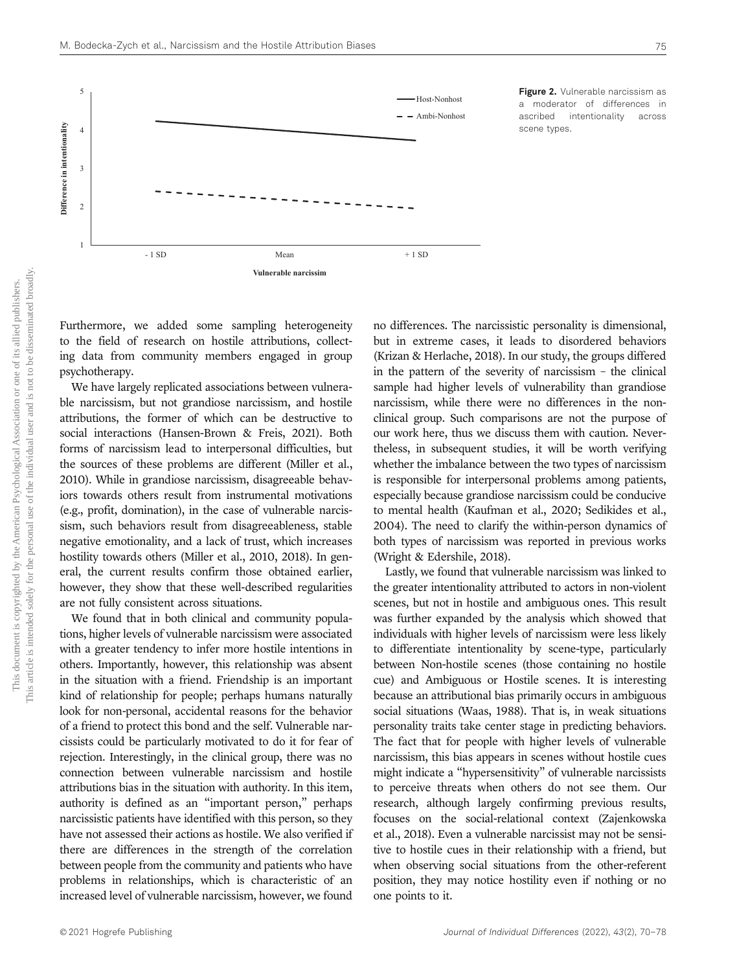

**Figure 2.** Vulnerable narcissism as a moderator of differences in ascribed intentionality across scene types.

Furthermore, we added some sampling heterogeneity to the field of research on hostile attributions, collecting data from community members engaged in group psychotherapy.

We have largely replicated associations between vulnerable narcissism, but not grandiose narcissism, and hostile attributions, the former of which can be destructive to social interactions (Hansen-Brown & Freis, 2021). Both forms of narcissism lead to interpersonal difficulties, but the sources of these problems are different (Miller et al., 2010). While in grandiose narcissism, disagreeable behaviors towards others result from instrumental motivations (e.g., profit, domination), in the case of vulnerable narcissism, such behaviors result from disagreeableness, stable negative emotionality, and a lack of trust, which increases hostility towards others (Miller et al., 2010, 2018). In general, the current results confirm those obtained earlier, however, they show that these well-described regularities are not fully consistent across situations.

We found that in both clinical and community populations, higher levels of vulnerable narcissism were associated with a greater tendency to infer more hostile intentions in others. Importantly, however, this relationship was absent in the situation with a friend. Friendship is an important kind of relationship for people; perhaps humans naturally look for non-personal, accidental reasons for the behavior of a friend to protect this bond and the self. Vulnerable narcissists could be particularly motivated to do it for fear of rejection. Interestingly, in the clinical group, there was no connection between vulnerable narcissism and hostile attributions bias in the situation with authority. In this item, authority is defined as an "important person," perhaps narcissistic patients have identified with this person, so they have not assessed their actions as hostile. We also verified if there are differences in the strength of the correlation between people from the community and patients who have problems in relationships, which is characteristic of an increased level of vulnerable narcissism, however, we found

no differences. The narcissistic personality is dimensional, but in extreme cases, it leads to disordered behaviors (Krizan & Herlache, 2018). In our study, the groups differed in the pattern of the severity of narcissism – the clinical sample had higher levels of vulnerability than grandiose narcissism, while there were no differences in the nonclinical group. Such comparisons are not the purpose of our work here, thus we discuss them with caution. Nevertheless, in subsequent studies, it will be worth verifying whether the imbalance between the two types of narcissism is responsible for interpersonal problems among patients, especially because grandiose narcissism could be conducive to mental health (Kaufman et al., 2020; Sedikides et al., 2004). The need to clarify the within-person dynamics of both types of narcissism was reported in previous works (Wright & Edershile, 2018).

Lastly, we found that vulnerable narcissism was linked to the greater intentionality attributed to actors in non-violent scenes, but not in hostile and ambiguous ones. This result was further expanded by the analysis which showed that individuals with higher levels of narcissism were less likely to differentiate intentionality by scene-type, particularly between Non-hostile scenes (those containing no hostile cue) and Ambiguous or Hostile scenes. It is interesting because an attributional bias primarily occurs in ambiguous social situations (Waas, 1988). That is, in weak situations personality traits take center stage in predicting behaviors. The fact that for people with higher levels of vulnerable narcissism, this bias appears in scenes without hostile cues might indicate a "hypersensitivity" of vulnerable narcissists to perceive threats when others do not see them. Our research, although largely confirming previous results, focuses on the social-relational context (Zajenkowska et al., 2018). Even a vulnerable narcissist may not be sensitive to hostile cues in their relationship with a friend, but when observing social situations from the other-referent position, they may notice hostility even if nothing or no one points to it.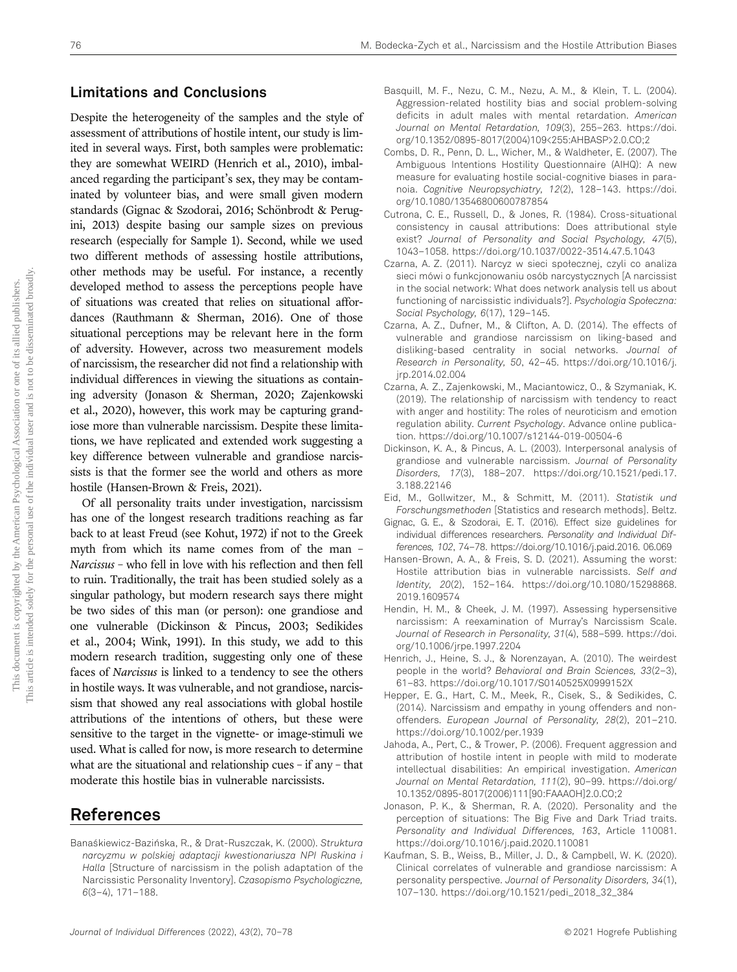## Limitations and Conclusions

Despite the heterogeneity of the samples and the style of assessment of attributions of hostile intent, our study is limited in several ways. First, both samples were problematic: they are somewhat WEIRD (Henrich et al., 2010), imbalanced regarding the participant's sex, they may be contaminated by volunteer bias, and were small given modern standards (Gignac & Szodorai, 2016; Schönbrodt & Perugini, 2013) despite basing our sample sizes on previous research (especially for Sample 1). Second, while we used two different methods of assessing hostile attributions, other methods may be useful. For instance, a recently developed method to assess the perceptions people have of situations was created that relies on situational affordances (Rauthmann & Sherman, 2016). One of those situational perceptions may be relevant here in the form of adversity. However, across two measurement models of narcissism, the researcher did not find a relationship with individual differences in viewing the situations as containing adversity (Jonason & Sherman, 2020; Zajenkowski et al., 2020), however, this work may be capturing grandiose more than vulnerable narcissism. Despite these limitations, we have replicated and extended work suggesting a key difference between vulnerable and grandiose narcissists is that the former see the world and others as more hostile (Hansen-Brown & Freis, 2021).

Of all personality traits under investigation, narcissism has one of the longest research traditions reaching as far back to at least Freud (see Kohut, 1972) if not to the Greek myth from which its name comes from of the man – Narcissus – who fell in love with his reflection and then fell to ruin. Traditionally, the trait has been studied solely as a singular pathology, but modern research says there might be two sides of this man (or person): one grandiose and one vulnerable (Dickinson & Pincus, 2003; Sedikides et al., 2004; Wink, 1991). In this study, we add to this modern research tradition, suggesting only one of these faces of Narcissus is linked to a tendency to see the others in hostile ways. It was vulnerable, and not grandiose, narcissism that showed any real associations with global hostile attributions of the intentions of others, but these were sensitive to the target in the vignette- or image-stimuli we used. What is called for now, is more research to determine what are the situational and relationship cues – if any – that moderate this hostile bias in vulnerable narcissists.

## References

Banaśkiewicz-Bazińska, R., & Drat-Ruszczak, K. (2000). Struktura narcyzmu w polskiej adaptacji kwestionariusza NPI Ruskina i Halla [Structure of narcissism in the polish adaptation of the Narcissistic Personality Inventory]. Czasopismo Psychologiczne, 6(3–4), 171–188.

- Basquill, M. F., Nezu, C. M., Nezu, A. M., & Klein, T. L. (2004). Aggression-related hostility bias and social problem-solving deficits in adult males with mental retardation. American Journal on Mental Retardation, 109(3), 255–263. https://doi. org/10.1352/0895-8017(2004)109<255:AHBASP>2.0.CO;2
- Combs, D. R., Penn, D. L., Wicher, M., & Waldheter, E. (2007). The Ambiguous Intentions Hostility Questionnaire (AIHQ): A new measure for evaluating hostile social-cognitive biases in paranoia. Cognitive Neuropsychiatry, 12(2), 128–143. https://doi. org/10.1080/13546800600787854
- Cutrona, C. E., Russell, D., & Jones, R. (1984). Cross-situational consistency in causal attributions: Does attributional style exist? Journal of Personality and Social Psychology, 47(5), 1043–1058. https://doi.org/10.1037/0022-3514.47.5.1043
- Czarna, A. Z. (2011). Narcyz w sieci społecznej, czyli co analiza sieci mówi o funkcjonowaniu osób narcystycznych [A narcissist in the social network: What does network analysis tell us about functioning of narcissistic individuals?]. Psychologia Społeczna: Social Psychology, 6(17), 129–145.
- Czarna, A. Z., Dufner, M., & Clifton, A. D. (2014). The effects of vulnerable and grandiose narcissism on liking-based and disliking-based centrality in social networks. Journal of Research in Personality, 50, 42–45. https://doi.org/10.1016/j. jrp.2014.02.004
- Czarna, A. Z., Zajenkowski, M., Maciantowicz, O., & Szymaniak, K. (2019). The relationship of narcissism with tendency to react with anger and hostility: The roles of neuroticism and emotion regulation ability. Current Psychology. Advance online publication. https://doi.org/10.1007/s12144-019-00504-6
- Dickinson, K. A., & Pincus, A. L. (2003). Interpersonal analysis of grandiose and vulnerable narcissism. Journal of Personality Disorders, 17(3), 188–207. https://doi.org/10.1521/pedi.17. 3.188.22146
- Eid, M., Gollwitzer, M., & Schmitt, M. (2011). Statistik und Forschungsmethoden [Statistics and research methods]. Beltz.
- Gignac, G. E., & Szodorai, E. T. (2016). Effect size guidelines for individual differences researchers. Personality and Individual Differences, 102, 74–78. https://doi.org/10.1016/j.paid.2016. 06.069
- Hansen-Brown, A. A., & Freis, S. D. (2021). Assuming the worst: Hostile attribution bias in vulnerable narcissists. Self and Identity, 20(2), 152–164. https://doi.org/10.1080/15298868. 2019.1609574
- Hendin, H. M., & Cheek, J. M. (1997). Assessing hypersensitive narcissism: A reexamination of Murray's Narcissism Scale. Journal of Research in Personality, 31(4), 588–599. https://doi. org/10.1006/jrpe.1997.2204
- Henrich, J., Heine, S. J., & Norenzayan, A. (2010). The weirdest people in the world? Behavioral and Brain Sciences, 33(2–3), 61–83. https://doi.org/10.1017/S0140525X0999152X
- Hepper, E. G., Hart, C. M., Meek, R., Cisek, S., & Sedikides, C. (2014). Narcissism and empathy in young offenders and nonoffenders. European Journal of Personality, 28(2), 201–210. https://doi.org/10.1002/per.1939
- Jahoda, A., Pert, C., & Trower, P. (2006). Frequent aggression and attribution of hostile intent in people with mild to moderate intellectual disabilities: An empirical investigation. American Journal on Mental Retardation, 111(2), 90–99. https://doi.org/ 10.1352/0895-8017(2006)111[90:FAAAOH]2.0.CO;2
- Jonason, P. K., & Sherman, R. A. (2020). Personality and the perception of situations: The Big Five and Dark Triad traits. Personality and Individual Differences, 163, Article 110081. https://doi.org/10.1016/j.paid.2020.110081
- Kaufman, S. B., Weiss, B., Miller, J. D., & Campbell, W. K. (2020). Clinical correlates of vulnerable and grandiose narcissism: A personality perspective. Journal of Personality Disorders, 34(1), 107–130. https://doi.org/10.1521/pedi\_2018\_32\_384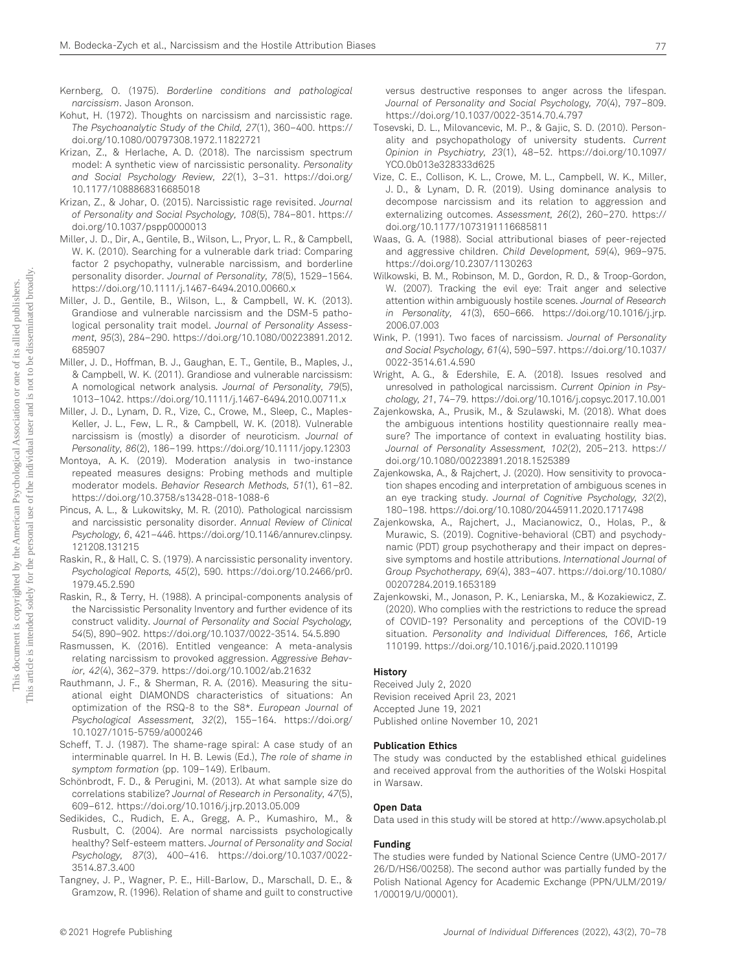- Kernberg, O. (1975). Borderline conditions and pathological narcissism. Jason Aronson.
- Kohut, H. (1972). Thoughts on narcissism and narcissistic rage. The Psychoanalytic Study of the Child, 27(1), 360–400. https:// doi.org/10.1080/00797308.1972.11822721
- Krizan, Z., & Herlache, A. D. (2018). The narcissism spectrum model: A synthetic view of narcissistic personality. Personality and Social Psychology Review, 22(1), 3–31. https://doi.org/ 10.1177/1088868316685018
- Krizan, Z., & Johar, O. (2015). Narcissistic rage revisited. Journal of Personality and Social Psychology, 108(5), 784–801. https:// doi.org/10.1037/pspp0000013
- Miller, J. D., Dir, A., Gentile, B., Wilson, L., Pryor, L. R., & Campbell, W. K. (2010). Searching for a vulnerable dark triad: Comparing factor 2 psychopathy, vulnerable narcissism, and borderline personality disorder. Journal of Personality, 78(5), 1529–1564. https://doi.org/10.1111/j.1467-6494.2010.00660.x
- Miller, J. D., Gentile, B., Wilson, L., & Campbell, W. K. (2013). Grandiose and vulnerable narcissism and the DSM-5 pathological personality trait model. Journal of Personality Assessment, 95(3), 284–290. https://doi.org/10.1080/00223891.2012. 685907
- Miller, J. D., Hoffman, B. J., Gaughan, E. T., Gentile, B., Maples, J., & Campbell, W. K. (2011). Grandiose and vulnerable narcissism: A nomological network analysis. Journal of Personality, 79(5), 1013–1042. https://doi.org/10.1111/j.1467-6494.2010.00711.x
- Miller, J. D., Lynam, D. R., Vize, C., Crowe, M., Sleep, C., Maples-Keller, J. L., Few, L. R., & Campbell, W. K. (2018). Vulnerable narcissism is (mostly) a disorder of neuroticism. Journal of Personality, 86(2), 186–199. https://doi.org/10.1111/jopy.12303
- Montoya, A. K. (2019). Moderation analysis in two-instance repeated measures designs: Probing methods and multiple moderator models. Behavior Research Methods, 51(1), 61–82. https://doi.org/10.3758/s13428-018-1088-6
- Pincus, A. L., & Lukowitsky, M. R. (2010). Pathological narcissism and narcissistic personality disorder. Annual Review of Clinical Psychology, 6, 421–446. https://doi.org/10.1146/annurev.clinpsy. 121208.131215
- Raskin, R., & Hall, C. S. (1979). A narcissistic personality inventory. Psychological Reports, 45(2), 590. https://doi.org/10.2466/pr0. 1979.45.2.590
- Raskin, R., & Terry, H. (1988). A principal-components analysis of the Narcissistic Personality Inventory and further evidence of its construct validity. Journal of Personality and Social Psychology, 54(5), 890–902. https://doi.org/10.1037/0022-3514. 54.5.890
- Rasmussen, K. (2016). Entitled vengeance: A meta-analysis relating narcissism to provoked aggression. Aggressive Behavior, 42(4), 362–379. https://doi.org/10.1002/ab.21632
- Rauthmann, J. F., & Sherman, R. A. (2016). Measuring the situational eight DIAMONDS characteristics of situations: An optimization of the RSQ-8 to the S8\*. European Journal of Psychological Assessment, 32(2), 155–164. https://doi.org/ 10.1027/1015-5759/a000246
- Scheff, T. J. (1987). The shame-rage spiral: A case study of an interminable quarrel. In H. B. Lewis (Ed.), The role of shame in symptom formation (pp. 109–149). Erlbaum.
- Schönbrodt, F. D., & Perugini, M. (2013). At what sample size do correlations stabilize? Journal of Research in Personality, 47(5), 609–612. https://doi.org/10.1016/j.jrp.2013.05.009
- Sedikides, C., Rudich, E. A., Gregg, A. P., Kumashiro, M., & Rusbult, C. (2004). Are normal narcissists psychologically healthy? Self-esteem matters. Journal of Personality and Social Psychology, 87(3), 400–416. https://doi.org/10.1037/0022- 3514.87.3.400
- Tangney, J. P., Wagner, P. E., Hill-Barlow, D., Marschall, D. E., & Gramzow, R. (1996). Relation of shame and guilt to constructive

versus destructive responses to anger across the lifespan. Journal of Personality and Social Psychology, 70(4), 797–809. https://doi.org/10.1037/0022-3514.70.4.797

- Tosevski, D. L., Milovancevic, M. P., & Gajic, S. D. (2010). Personality and psychopathology of university students. Current Opinion in Psychiatry, 23(1), 48–52. https://doi.org/10.1097/ YCO.0b013e328333d625
- Vize, C. E., Collison, K. L., Crowe, M. L., Campbell, W. K., Miller, J. D., & Lynam, D. R. (2019). Using dominance analysis to decompose narcissism and its relation to aggression and externalizing outcomes. Assessment, 26(2), 260–270. https:// doi.org/10.1177/1073191116685811
- Waas, G. A. (1988). Social attributional biases of peer-rejected and aggressive children. Child Development, 59(4), 969–975. https://doi.org/10.2307/1130263
- Wilkowski, B. M., Robinson, M. D., Gordon, R. D., & Troop-Gordon, W. (2007). Tracking the evil eye: Trait anger and selective attention within ambiguously hostile scenes. Journal of Research in Personality, 41(3), 650–666. https://doi.org/10.1016/j.jrp. 2006.07.003
- Wink, P. (1991). Two faces of narcissism. Journal of Personality and Social Psychology, 61(4), 590–597. https://doi.org/10.1037/ 0022-3514.61.4.590
- Wright, A. G., & Edershile, E. A. (2018). Issues resolved and unresolved in pathological narcissism. Current Opinion in Psychology, 21, 74–79. https://doi.org/10.1016/j.copsyc.2017.10.001
- Zajenkowska, A., Prusik, M., & Szulawski, M. (2018). What does the ambiguous intentions hostility questionnaire really measure? The importance of context in evaluating hostility bias. Journal of Personality Assessment, 102(2), 205–213. https:// doi.org/10.1080/00223891.2018.1525389
- Zajenkowska, A., & Rajchert, J. (2020). How sensitivity to provocation shapes encoding and interpretation of ambiguous scenes in an eye tracking study. Journal of Cognitive Psychology, 32(2), 180–198. https://doi.org/10.1080/20445911.2020.1717498
- Zajenkowska, A., Rajchert, J., Macianowicz, O., Holas, P., & Murawic, S. (2019). Cognitive-behavioral (CBT) and psychodynamic (PDT) group psychotherapy and their impact on depressive symptoms and hostile attributions. International Journal of Group Psychotherapy, 69(4), 383–407. https://doi.org/10.1080/ 00207284.2019.1653189
- Zajenkowski, M., Jonason, P. K., Leniarska, M., & Kozakiewicz, Z. (2020). Who complies with the restrictions to reduce the spread of COVID-19? Personality and perceptions of the COVID-19 situation. Personality and Individual Differences, 166, Article 110199. https://doi.org/10.1016/j.paid.2020.110199

#### History

Received July 2, 2020 Revision received April 23, 2021 Accepted June 19, 2021 Published online November 10, 2021

#### Publication Ethics

The study was conducted by the established ethical guidelines and received approval from the authorities of the Wolski Hospital in Warsaw.

#### Open Data

Data used in this study will be stored at http://www.apsycholab.pl

#### Funding

The studies were funded by National Science Centre (UMO-2017/ 26/D/HS6/00258). The second author was partially funded by the Polish National Agency for Academic Exchange (PPN/ULM/2019/ 1/00019/U/00001).